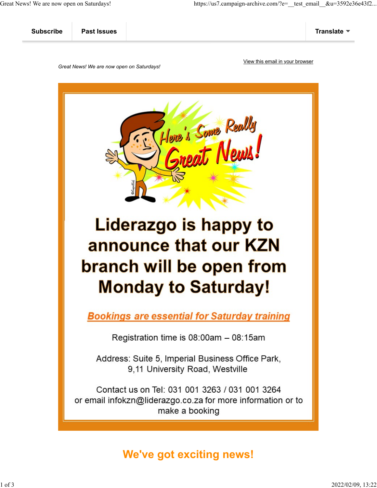| <b>Subscribe</b> | <b>Past Issues</b> | Translate |
|------------------|--------------------|-----------|
|                  |                    |           |

*Great News! We are now open on Saturdays!*

[View this email in your browser](https://mailchi.mp/566641d2a76a/great-news-we-are-open-on-the-9th-of-august-for-dangerous-goods-training-13712023?e=[UNIQID])



# **Monday to Saturday!**

**Bookings are essential for Saturday training** 

Registration time is  $08:00$ am  $-08:15$ am

Address: Suite 5, Imperial Business Office Park, 9,11 University Road, Westville

Contact us on Tel: 031 001 3263 / 031 001 3264 or email infokzn@liderazgo.co.za for more information or to make a booking

# **We've got exciting news!**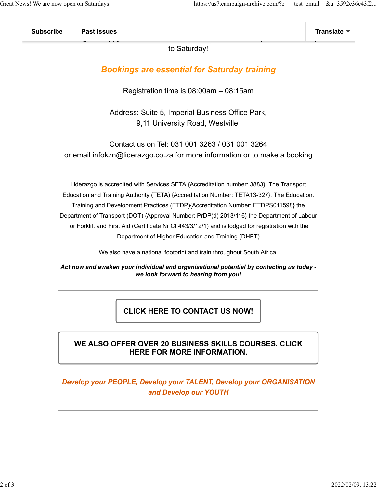| <b>Subscribe</b> | <b>Past Issues</b>  | <b>Translate</b> |
|------------------|---------------------|------------------|
|                  | $\overline{ }$<br>. |                  |

to Saturday!

## *Bookings are essential for Saturday training*

Registration time is 08:00am – 08:15am

Address: Suite 5, Imperial Business Office Park, 9,11 University Road, Westville

Contact us on Tel: 031 001 3263 / 031 001 3264 or email infokzn@liderazgo.co.za for more information or to make a booking

Liderazgo is accredited with Services SETA {Accreditation number: 3883}, The Transport Education and Training Authority (TETA) {Accreditation Number: TETA13-327}, The Education, Training and Development Practices (ETDP){Accreditation Number: ETDPS011598} the Department of Transport (DOT) {Approval Number: PrDP(d) 2013/116} the Department of Labour for Forklift and First Aid (Certificate Nr CI 443/3/12/1) and is lodged for registration with the Department of Higher Education and Training (DHET)

We also have a national footprint and train throughout South Africa.

#### *Act now and awaken your individual and organisational potential by contacting us today we look forward to hearing from you!*

**[CLICK HERE TO CONTACT US NOW!](http://www.liderazgo.co.za/web/contact-us.asp)**

#### **[WE ALSO OFFER OVER 20 BUSINESS SKILLS COURSES. CLICK](http://www.liderazgo.co.za/) [HERE FOR MORE INFORMATION.](http://www.liderazgo.co.za/)**

### *Develop your PEOPLE, Develop your TALENT, Develop your ORGANISATION and Develop our YOUTH*